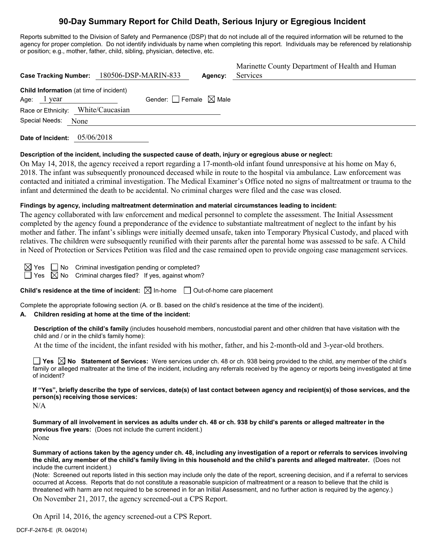# **90-Day Summary Report for Child Death, Serious Injury or Egregious Incident**

Reports submitted to the Division of Safety and Permanence (DSP) that do not include all of the required information will be returned to the agency for proper completion. Do not identify individuals by name when completing this report. Individuals may be referenced by relationship or position; e.g., mother, father, child, sibling, physician, detective, etc.

|                                                                 | Case Tracking Number: 180506-DSP-MARIN-833 | Agency: | Marinette County Department of Health and Human<br>Services |
|-----------------------------------------------------------------|--------------------------------------------|---------|-------------------------------------------------------------|
| <b>Child Information</b> (at time of incident)<br>Age: $1$ year | Gender: $\Box$ Female $\boxtimes$ Male     |         |                                                             |
| Race or Ethnicity: White/Caucasian                              |                                            |         |                                                             |
| Special Needs:<br>None                                          |                                            |         |                                                             |

**Date of Incident:** 05/06/2018

#### **Description of the incident, including the suspected cause of death, injury or egregious abuse or neglect:**

On May 14, 2018, the agency received a report regarding a 17-month-old infant found unresponsive at his home on May 6, 2018. The infant was subsequently pronounced deceased while in route to the hospital via ambulance. Law enforcement was contacted and initiated a criminal investigation. The Medical Examiner's Office noted no signs of maltreatment or trauma to the infant and determined the death to be accidental. No criminal charges were filed and the case was closed.

#### **Findings by agency, including maltreatment determination and material circumstances leading to incident:**

The agency collaborated with law enforcement and medical personnel to complete the assessment. The Initial Assessment completed by the agency found a preponderance of the evidence to substantiate maltreatment of neglect to the infant by his mother and father. The infant's siblings were initially deemed unsafe, taken into Temporary Physical Custody, and placed with relatives. The children were subsequently reunified with their parents after the parental home was assessed to be safe. A Child in Need of Protection or Services Petition was filed and the case remained open to provide ongoing case management services.

 $\boxtimes$  Yes  $\Box$  No Criminal investigation pending or completed?

 $\Box$  Yes  $\boxtimes$  No Criminal charges filed? If yes, against whom?

**Child's residence at the time of incident:**  $\boxtimes$  In-home  $\Box$  Out-of-home care placement

Complete the appropriate following section (A. or B. based on the child's residence at the time of the incident).

#### **A. Children residing at home at the time of the incident:**

**Description of the child's family** (includes household members, noncustodial parent and other children that have visitation with the child and / or in the child's family home):

At the time of the incident, the infant resided with his mother, father, and his 2-month-old and 3-year-old brothers.

**Yes**  $\boxtimes$  **No** Statement of Services: Were services under ch. 48 or ch. 938 being provided to the child, any member of the child's family or alleged maltreater at the time of the incident, including any referrals received by the agency or reports being investigated at time of incident?

**If "Yes", briefly describe the type of services, date(s) of last contact between agency and recipient(s) of those services, and the person(s) receiving those services:**

N/A

**Summary of all involvement in services as adults under ch. 48 or ch. 938 by child's parents or alleged maltreater in the previous five years:** (Does not include the current incident.) None

**Summary of actions taken by the agency under ch. 48, including any investigation of a report or referrals to services involving the child, any member of the child's family living in this household and the child's parents and alleged maltreater.** (Does not include the current incident.)

(Note: Screened out reports listed in this section may include only the date of the report, screening decision, and if a referral to services occurred at Access. Reports that do not constitute a reasonable suspicion of maltreatment or a reason to believe that the child is threatened with harm are not required to be screened in for an Initial Assessment, and no further action is required by the agency.)

On November 21, 2017, the agency screened-out a CPS Report.

On April 14, 2016, the agency screened-out a CPS Report.